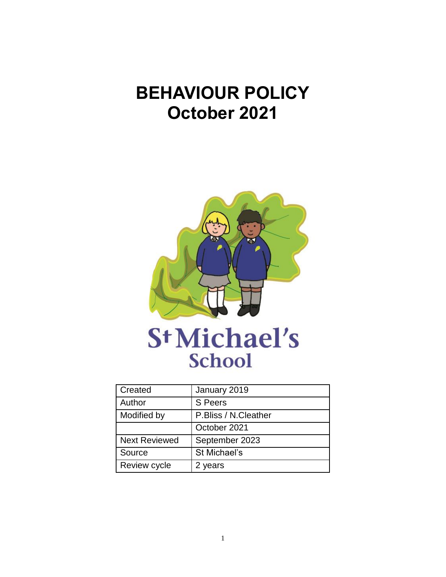# **BEHAVIOUR POLICY October 2021**



| Created              | January 2019         |
|----------------------|----------------------|
| Author               | S Peers              |
| Modified by          | P.Bliss / N.Cleather |
|                      | October 2021         |
| <b>Next Reviewed</b> | September 2023       |
| Source               | St Michael's         |
| Review cycle         | 2 years              |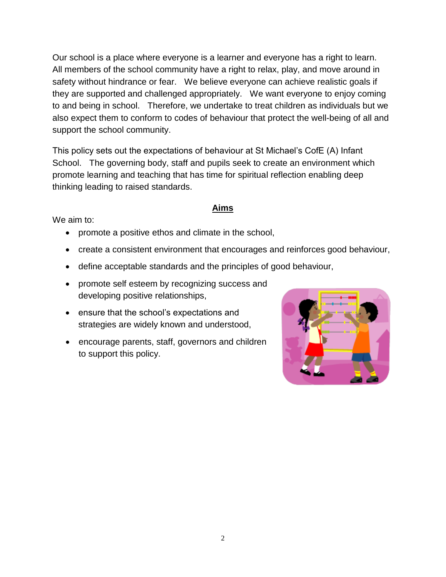Our school is a place where everyone is a learner and everyone has a right to learn. All members of the school community have a right to relax, play, and move around in safety without hindrance or fear. We believe everyone can achieve realistic goals if they are supported and challenged appropriately. We want everyone to enjoy coming to and being in school. Therefore, we undertake to treat children as individuals but we also expect them to conform to codes of behaviour that protect the well-being of all and support the school community.

This policy sets out the expectations of behaviour at St Michael's CofE (A) Infant School. The governing body, staff and pupils seek to create an environment which promote learning and teaching that has time for spiritual reflection enabling deep thinking leading to raised standards.

#### **Aims**

We aim to:

- promote a positive ethos and climate in the school,
- create a consistent environment that encourages and reinforces good behaviour,
- define acceptable standards and the principles of good behaviour,
- promote self esteem by recognizing success and developing positive relationships,
- ensure that the school's expectations and strategies are widely known and understood,
- encourage parents, staff, governors and children to support this policy.

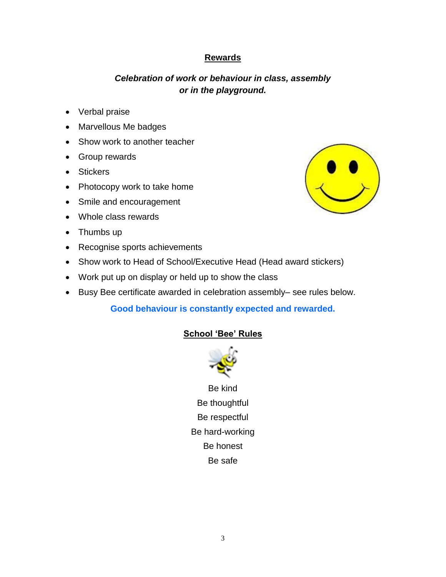## **Rewards**

# *Celebration of work or behaviour in class, assembly or in the playground.*

- Verbal praise
- Marvellous Me badges
- Show work to another teacher
- Group rewards
- Stickers
- Photocopy work to take home
- Smile and encouragement
- Whole class rewards
- Thumbs up
- Recognise sports achievements
- Show work to Head of School/Executive Head (Head award stickers)
- Work put up on display or held up to show the class
- Busy Bee certificate awarded in celebration assembly– see rules below.

## **Good behaviour is constantly expected and rewarded.**

## **School 'Bee' Rules**



Be kind Be thoughtful Be respectful Be hard-working Be honest Be safe

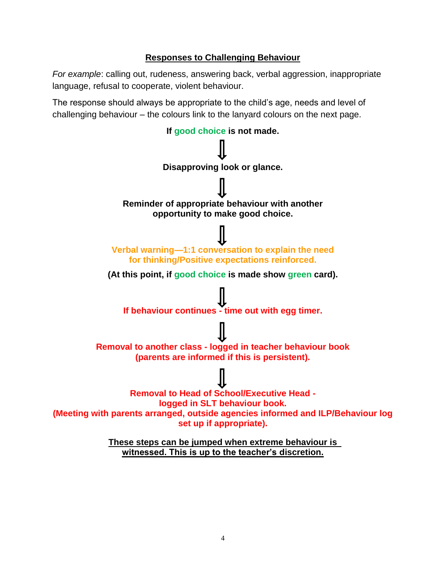## **Responses to Challenging Behaviour**

*For example*: calling out, rudeness, answering back, verbal aggression, inappropriate language, refusal to cooperate, violent behaviour.

The response should always be appropriate to the child's age, needs and level of challenging behaviour – the colours link to the lanyard colours on the next page.



**witnessed. This is up to the teacher's discretion.**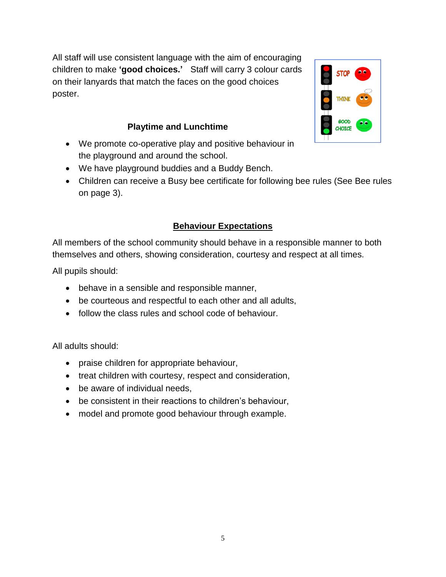All staff will use consistent language with the aim of encouraging children to make **'good choices.'** Staff will carry 3 colour cards on their lanyards that match the faces on the good choices poster.



# **Playtime and Lunchtime**

- We promote co-operative play and positive behaviour in the playground and around the school.
- We have playground buddies and a Buddy Bench.
- Children can receive a Busy bee certificate for following bee rules (See Bee rules on page 3).

# **Behaviour Expectations**

All members of the school community should behave in a responsible manner to both themselves and others, showing consideration, courtesy and respect at all times.

All pupils should:

- behave in a sensible and responsible manner,
- be courteous and respectful to each other and all adults,
- follow the class rules and school code of behaviour.

All adults should:

- praise children for appropriate behaviour,
- treat children with courtesy, respect and consideration,
- be aware of individual needs,
- be consistent in their reactions to children's behaviour,
- model and promote good behaviour through example.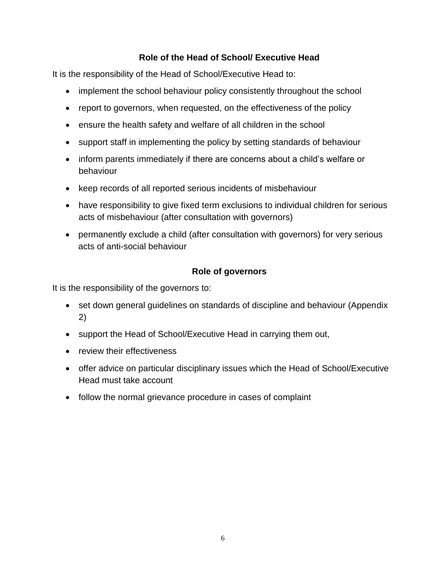# **Role of the Head of School/ Executive Head**

It is the responsibility of the Head of School/Executive Head to:

- implement the school behaviour policy consistently throughout the school
- report to governors, when requested, on the effectiveness of the policy
- ensure the health safety and welfare of all children in the school
- support staff in implementing the policy by setting standards of behaviour
- inform parents immediately if there are concerns about a child's welfare or behaviour
- keep records of all reported serious incidents of misbehaviour
- have responsibility to give fixed term exclusions to individual children for serious acts of misbehaviour (after consultation with governors)
- permanently exclude a child (after consultation with governors) for very serious acts of anti-social behaviour

# **Role of governors**

It is the responsibility of the governors to:

- set down general guidelines on standards of discipline and behaviour (Appendix 2)
- support the Head of School/Executive Head in carrying them out,
- review their effectiveness
- offer advice on particular disciplinary issues which the Head of School/Executive Head must take account
- follow the normal grievance procedure in cases of complaint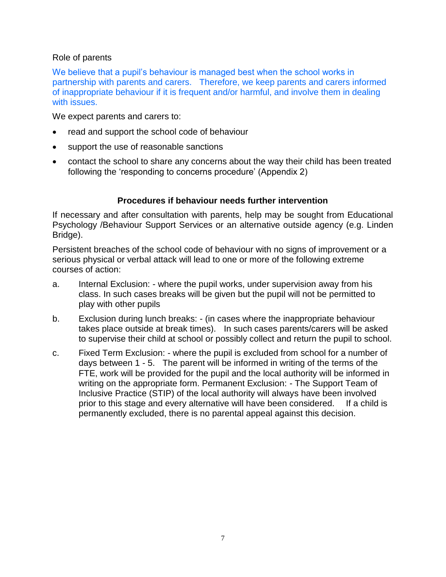#### Role of parents

We believe that a pupil's behaviour is managed best when the school works in partnership with parents and carers. Therefore, we keep parents and carers informed of inappropriate behaviour if it is frequent and/or harmful, and involve them in dealing with issues.

We expect parents and carers to:

- read and support the school code of behaviour
- support the use of reasonable sanctions
- contact the school to share any concerns about the way their child has been treated following the 'responding to concerns procedure' (Appendix 2)

#### **Procedures if behaviour needs further intervention**

If necessary and after consultation with parents, help may be sought from Educational Psychology /Behaviour Support Services or an alternative outside agency (e.g. Linden Bridge).

Persistent breaches of the school code of behaviour with no signs of improvement or a serious physical or verbal attack will lead to one or more of the following extreme courses of action:

- a. Internal Exclusion: where the pupil works, under supervision away from his class. In such cases breaks will be given but the pupil will not be permitted to play with other pupils
- b. Exclusion during lunch breaks: (in cases where the inappropriate behaviour takes place outside at break times). In such cases parents/carers will be asked to supervise their child at school or possibly collect and return the pupil to school.
- c. Fixed Term Exclusion: where the pupil is excluded from school for a number of days between 1 - 5. The parent will be informed in writing of the terms of the FTE, work will be provided for the pupil and the local authority will be informed in writing on the appropriate form. Permanent Exclusion: - The Support Team of Inclusive Practice (STIP) of the local authority will always have been involved prior to this stage and every alternative will have been considered. If a child is permanently excluded, there is no parental appeal against this decision.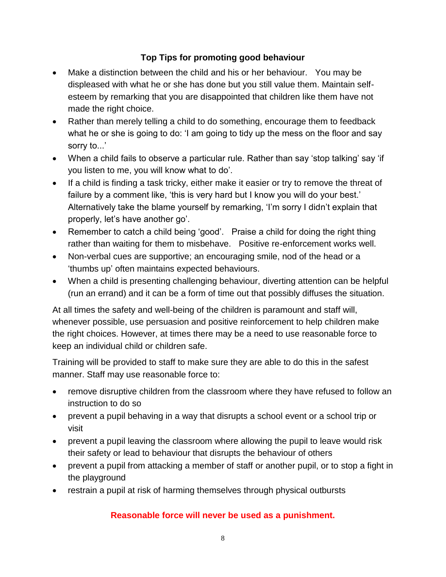# **Top Tips for promoting good behaviour**

- Make a distinction between the child and his or her behaviour. You may be displeased with what he or she has done but you still value them. Maintain selfesteem by remarking that you are disappointed that children like them have not made the right choice.
- Rather than merely telling a child to do something, encourage them to feedback what he or she is going to do: 'I am going to tidy up the mess on the floor and say sorry to...'
- When a child fails to observe a particular rule. Rather than say 'stop talking' say 'if you listen to me, you will know what to do'.
- If a child is finding a task tricky, either make it easier or try to remove the threat of failure by a comment like, 'this is very hard but I know you will do your best.' Alternatively take the blame yourself by remarking, 'I'm sorry I didn't explain that properly, let's have another go'.
- Remember to catch a child being 'good'. Praise a child for doing the right thing rather than waiting for them to misbehave. Positive re-enforcement works well.
- Non-verbal cues are supportive; an encouraging smile, nod of the head or a 'thumbs up' often maintains expected behaviours.
- When a child is presenting challenging behaviour, diverting attention can be helpful (run an errand) and it can be a form of time out that possibly diffuses the situation.

At all times the safety and well-being of the children is paramount and staff will, whenever possible, use persuasion and positive reinforcement to help children make the right choices. However, at times there may be a need to use reasonable force to keep an individual child or children safe.

Training will be provided to staff to make sure they are able to do this in the safest manner. Staff may use reasonable force to:

- remove disruptive children from the classroom where they have refused to follow an instruction to do so
- prevent a pupil behaving in a way that disrupts a school event or a school trip or visit
- prevent a pupil leaving the classroom where allowing the pupil to leave would risk their safety or lead to behaviour that disrupts the behaviour of others
- prevent a pupil from attacking a member of staff or another pupil, or to stop a fight in the playground
- restrain a pupil at risk of harming themselves through physical outbursts

# **Reasonable force will never be used as a punishment.**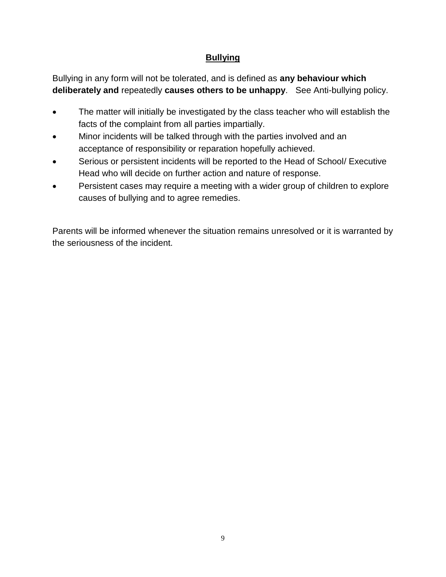# **Bullying**

Bullying in any form will not be tolerated, and is defined as **any behaviour which deliberately and** repeatedly **causes others to be unhappy**. See Anti-bullying policy.

- The matter will initially be investigated by the class teacher who will establish the facts of the complaint from all parties impartially.
- Minor incidents will be talked through with the parties involved and an acceptance of responsibility or reparation hopefully achieved.
- Serious or persistent incidents will be reported to the Head of School/ Executive Head who will decide on further action and nature of response.
- Persistent cases may require a meeting with a wider group of children to explore causes of bullying and to agree remedies.

Parents will be informed whenever the situation remains unresolved or it is warranted by the seriousness of the incident.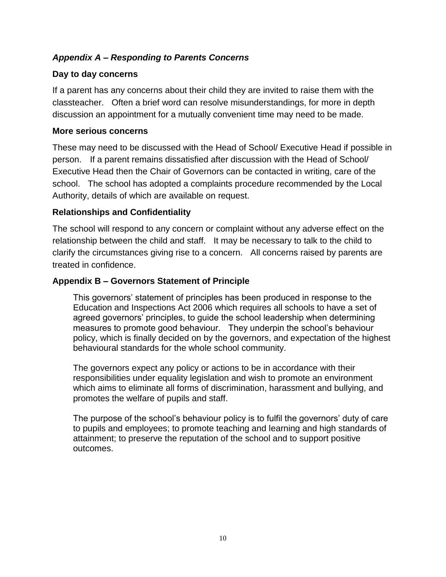# *Appendix A – Responding to Parents Concerns*

## **Day to day concerns**

If a parent has any concerns about their child they are invited to raise them with the classteacher. Often a brief word can resolve misunderstandings, for more in depth discussion an appointment for a mutually convenient time may need to be made.

#### **More serious concerns**

These may need to be discussed with the Head of School/ Executive Head if possible in person.If a parent remains dissatisfied after discussion with the Head of School/ Executive Head then the Chair of Governors can be contacted in writing, care of the school. The school has adopted a complaints procedure recommended by the Local Authority, details of which are available on request.

## **Relationships and Confidentiality**

The school will respond to any concern or complaint without any adverse effect on the relationship between the child and staff. It may be necessary to talk to the child to clarify the circumstances giving rise to a concern. All concerns raised by parents are treated in confidence.

## **Appendix B – Governors Statement of Principle**

This governors' statement of principles has been produced in response to the Education and Inspections Act 2006 which requires all schools to have a set of agreed governors' principles, to guide the school leadership when determining measures to promote good behaviour. They underpin the school's behaviour policy, which is finally decided on by the governors, and expectation of the highest behavioural standards for the whole school community.

The governors expect any policy or actions to be in accordance with their responsibilities under equality legislation and wish to promote an environment which aims to eliminate all forms of discrimination, harassment and bullying, and promotes the welfare of pupils and staff.

The purpose of the school's behaviour policy is to fulfil the governors' duty of care to pupils and employees; to promote teaching and learning and high standards of attainment; to preserve the reputation of the school and to support positive outcomes.